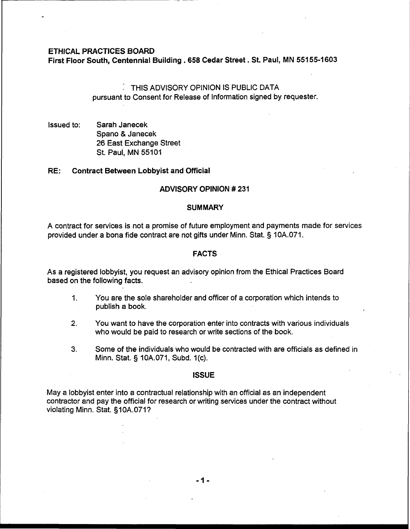#### **ETHICAL PRACTICES BOARD**

**First Floor South, Centennial Building** . **658 Cedar Street** . **St. Paul, MN 551 55-1603** 

# : THIS ADVISORY OPINION IS PUBLIC DATA pursuant to Consent for Release of Information signed by requester.

Issued to: Sarah Janecek Spano & Janecek 26 East Exchange Street St. Paul, MN 55101

#### **RE: Contract Between Lobbyist and Official**

#### **ADVISORY OPINION** # **231**

#### **SUMMARY**

A contract for services is not a promise of future employment and payments made for services provided under a bona fide contract are not gifts under Minn. Stat. § 10A.071.

#### **FACTS**

As a registered lobbyist, you request an advisory opinion from the Ethical Practices Board based on the following facts.

- 1. You are the sole shareholder and officer of a corporation which intends to publish a book.
- **2.** You want to have the corporation enter into contracts with various individuals who would be paid to research or write sections of the book.
- **3.** Some of the individuals who would be contracted with are officials as defined in Minn. Stat. **5** 10A.071, Subd. 1 (c).

#### **ISSUE**

May a lobbyist enter into a contractual relationship with an official as an independent contractor and pay the official for research or writing services under the contract without violating Minn. Stat. §10A.071?

 $-1-$